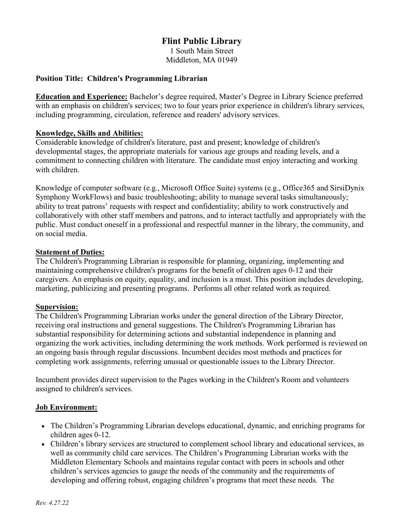# Flint Public Library

1 South Main Street Middleton, MA 01949

# Position Title: Children's Programming Librarian

Education and Experience: Bachelor's degree required, Master's Degree in Library Science preferred with an emphasis on children's services; two to four years prior experience in children's library services, including programming, circulation, reference and readers' advisory services.

## Knowledge, Skills and Abilities:

Considerable knowledge of children's literature, past and present; knowledge of children's developmental stages, the appropriate materials for various age groups and reading levels, and a commitment to connecting children with literature. The candidate must enjoy interacting and working with children.

Knowledge of computer software (e.g., Microsoft Office Suite) systems (e.g., Office365 and SirsiDynix Symphony WorkFlows) and basic troubleshooting; ability to manage several tasks simultaneously; ability to treat patrons' requests with respect and confidentiality; ability to work constructively and collaboratively with other staff members and patrons, and to interact tactfully and appropriately with the public. Must conduct oneself in a professional and respectful manner in the library, the community, and on social media.

## Statement of Duties:

The Children's Programming Librarian is responsible for planning, organizing, implementing and maintaining comprehensive children's programs for the benefit of children ages 0-12 and their caregivers. An emphasis on equity, equality, and inclusion is a must. This position includes developing, marketing, publicizing and presenting programs. Performs all other related work as required.

#### Supervision:

The Children's Programming Librarian works under the general direction of the Library Director, receiving oral instructions and general suggestions. The Children's Programming Librarian has substantial responsibility for determining actions and substantial independence in planning and organizing the work activities, including determining the work methods. Work performed is reviewed on an ongoing basis through regular discussions. Incumbent decides most methods and practices for completing work assignments, referring unusual or questionable issues to the Library Director.

Incumbent provides direct supervision to the Pages working in the Children's Room and volunteers assigned to children's services.

#### Job Environment:

- The Children's Programming Librarian develops educational, dynamic, and enriching programs for children ages 0-12.
- Children's library services are structured to complement school library and educational services, as well as community child care services. The Children's Programming Librarian works with the Middleton Elementary Schools and maintains regular contact with peers in schools and other children's services agencies to gauge the needs of the community and the requirements of developing and offering robust, engaging children's programs that meet these needs. The